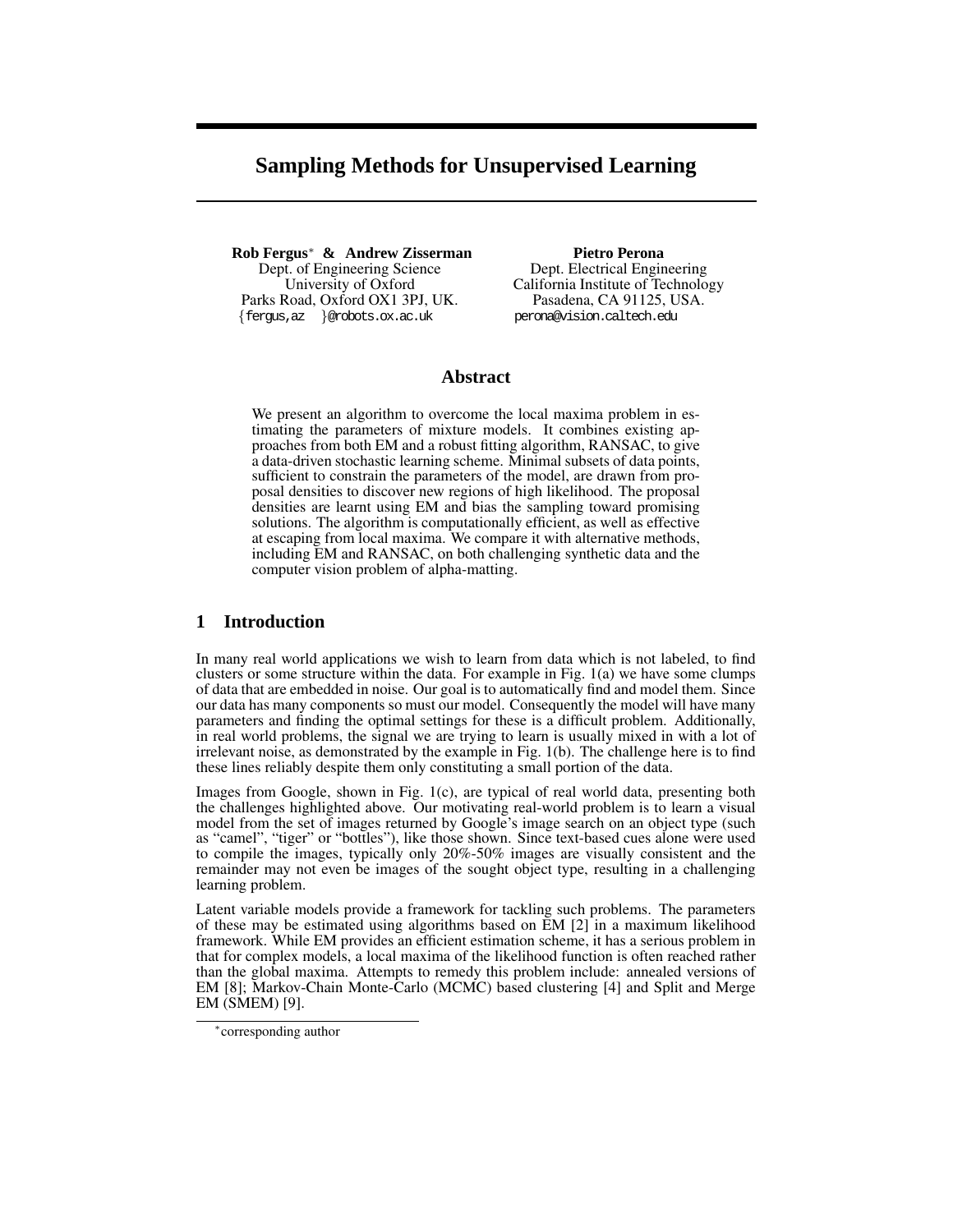# **Sampling Methods for Unsupervised Learning**

**Rob Fergus**<sup>∗</sup> **& Andrew Zisserman** Dept. of Engineering Science University of Oxford Parks Road, Oxford OX1 3PJ, UK. {fergus,az }@robots.ox.ac.uk

**Pietro Perona** Dept. Electrical Engineering California Institute of Technology Pasadena, CA 91125, USA. perona@vision.caltech.edu

# **Abstract**

We present an algorithm to overcome the local maxima problem in estimating the parameters of mixture models. It combines existing approaches from both EM and a robust fitting algorithm, RANSAC, to give a data-driven stochastic learning scheme. Minimal subsets of data points, sufficient to constrain the parameters of the model, are drawn from proposal densities to discover new regions of high likelihood. The proposal densities are learnt using EM and bias the sampling toward promising solutions. The algorithm is computationally efficient, as well as effective at escaping from local maxima. We compare it with alternative methods, including EM and RANSAC, on both challenging synthetic data and the computer vision problem of alpha-matting.

# **1 Introduction**

In many real world applications we wish to learn from data which is not labeled, to find clusters or some structure within the data. For example in Fig. 1(a) we have some clumps of data that are embedded in noise. Our goal is to automatically find and model them. Since our data has many components so must our model. Consequently the model will have many parameters and finding the optimal settings for these is a difficult problem. Additionally, in real world problems, the signal we are trying to learn is usually mixed in with a lot of irrelevant noise, as demonstrated by the example in Fig. 1(b). The challenge here is to find these lines reliably despite them only constituting a small portion of the data.

Images from Google, shown in Fig. 1(c), are typical of real world data, presenting both the challenges highlighted above. Our motivating real-world problem is to learn a visual model from the set of images returned by Google's image search on an object type (such as "camel", "tiger" or "bottles"), like those shown. Since text-based cues alone were used to compile the images, typically only 20%-50% images are visually consistent and the remainder may not even be images of the sought object type, resulting in a challenging learning problem.

Latent variable models provide a framework for tackling such problems. The parameters of these may be estimated using algorithms based on EM [2] in a maximum likelihood framework. While EM provides an efficient estimation scheme, it has a serious problem in that for complex models, a local maxima of the likelihood function is often reached rather than the global maxima. Attempts to remedy this problem include: annealed versions of EM [8]; Markov-Chain Monte-Carlo (MCMC) based clustering [4] and Split and Merge EM (SMEM) [9].

<sup>∗</sup> corresponding author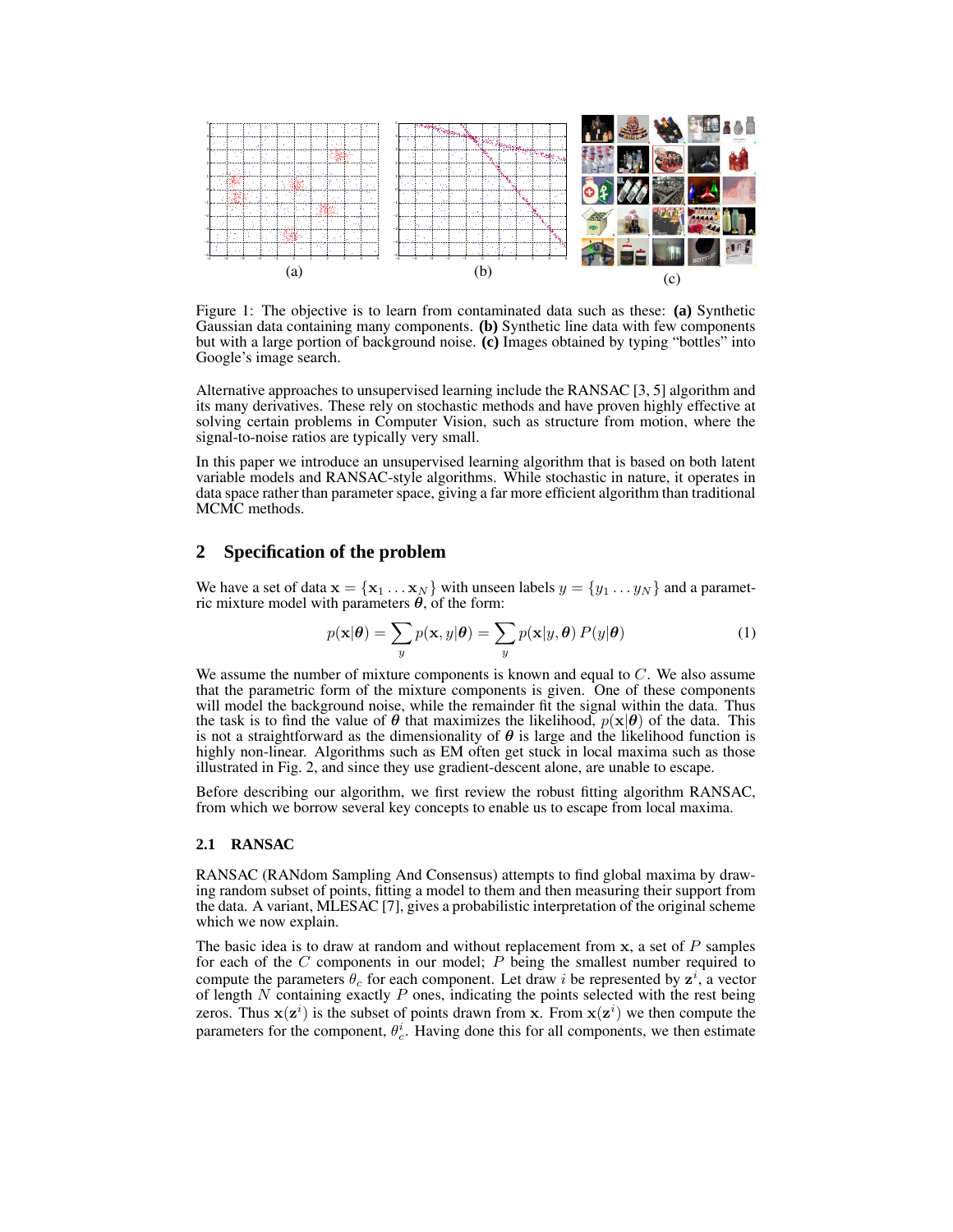

Figure 1: The objective is to learn from contaminated data such as these: **(a)** Synthetic Gaussian data containing many components. **(b)** Synthetic line data with few components but with a large portion of background noise. **(c)** Images obtained by typing "bottles" into Google's image search.

Alternative approaches to unsupervised learning include the RANSAC [3, 5] algorithm and its many derivatives. These rely on stochastic methods and have proven highly effective at solving certain problems in Computer Vision, such as structure from motion, where the signal-to-noise ratios are typically very small.

In this paper we introduce an unsupervised learning algorithm that is based on both latent variable models and RANSAC-style algorithms. While stochastic in nature, it operates in data space rather than parameter space, giving a far more efficient algorithm than traditional MCMC methods.

# **2 Specification of the problem**

We have a set of data  $\mathbf{x} = {\mathbf{x}_1 \dots \mathbf{x}_N}$  with unseen labels  $y = {y_1 \dots y_N}$  and a parametric mixture model with parameters  $\theta$ , of the form:

$$
p(\mathbf{x}|\boldsymbol{\theta}) = \sum_{y} p(\mathbf{x}, y|\boldsymbol{\theta}) = \sum_{y} p(\mathbf{x}|y, \boldsymbol{\theta}) P(y|\boldsymbol{\theta})
$$
(1)

We assume the number of mixture components is known and equal to  $C$ . We also assume that the parametric form of the mixture components is given. One of these components will model the background noise, while the remainder fit the signal within the data. Thus the task is to find the value of  $\theta$  that maximizes the likelihood,  $p(\mathbf{x}|\theta)$  of the data. This is not a straightforward as the dimensionality of  $\theta$  is large and the likelihood function is highly non-linear. Algorithms such as EM often get stuck in local maxima such as those illustrated in Fig. 2, and since they use gradient-descent alone, are unable to escape.

Before describing our algorithm, we first review the robust fitting algorithm RANSAC, from which we borrow several key concepts to enable us to escape from local maxima.

#### **2.1 RANSAC**

RANSAC (RANdom Sampling And Consensus) attempts to find global maxima by drawing random subset of points, fitting a model to them and then measuring their support from the data. A variant, MLESAC [7], gives a probabilistic interpretation of the original scheme which we now explain.

The basic idea is to draw at random and without replacement from  $x$ , a set of  $P$  samples for each of the  $C$  components in our model;  $P$  being the smallest number required to compute the parameters  $\theta_c$  for each component. Let draw i be represented by  $z^i$ , a vector of length  $N$  containing exactly  $P$  ones, indicating the points selected with the rest being zeros. Thus  $x(z^i)$  is the subset of points drawn from x. From  $x(z^i)$  we then compute the parameters for the component,  $\theta_c^i$ . Having done this for all components, we then estimate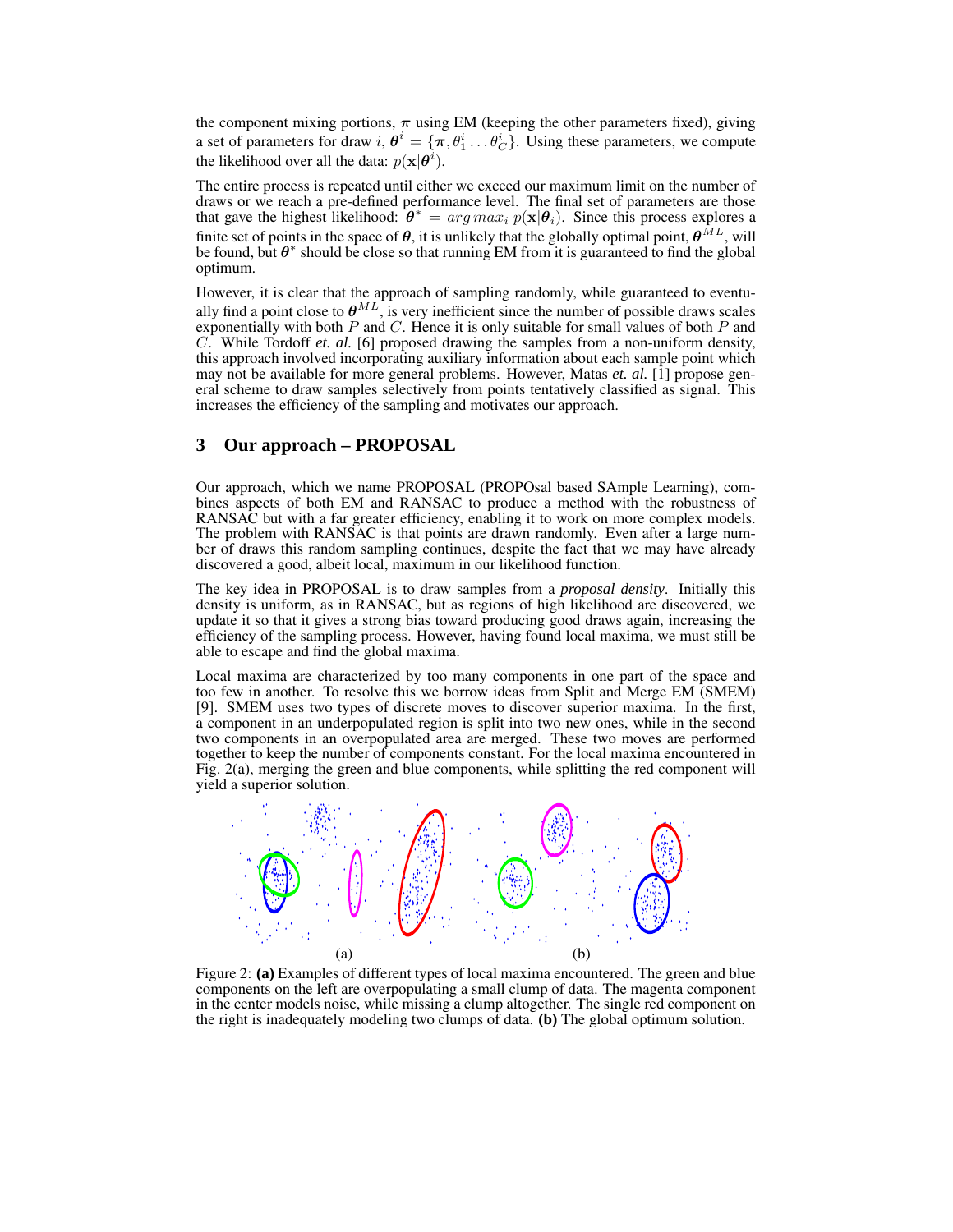the component mixing portions,  $\pi$  using EM (keeping the other parameters fixed), giving a set of parameters for draw  $i, \theta^i = {\pi, \theta_1^i ... \theta_C^i}$ . Using these parameters, we compute the likelihood over all the data:  $p(\mathbf{x}|\boldsymbol{\theta}^i)$ .

The entire process is repeated until either we exceed our maximum limit on the number of draws or we reach a pre-defined performance level. The final set of parameters are those that gave the highest likelihood:  $\theta^* = arg max_i p(\mathbf{x}|\theta_i)$ . Since this process explores a finite set of points in the space of  $\theta$ , it is unlikely that the globally optimal point,  $\theta^{ML}$ , will be found, but  $\theta^*$  should be close so that running EM from it is guaranteed to find the global optimum.

However, it is clear that the approach of sampling randomly, while guaranteed to eventually find a point close to  $\theta^{ML}$ , is very inefficient since the number of possible draws scales exponentially with both  $P$  and  $C$ . Hence it is only suitable for small values of both  $P$  and C. While Tordoff *et. al.* [6] proposed drawing the samples from a non-uniform density, this approach involved incorporating auxiliary information about each sample point which may not be available for more general problems. However, Matas *et. al.* [1] propose general scheme to draw samples selectively from points tentatively classified as signal. This increases the efficiency of the sampling and motivates our approach.

## **3 Our approach – PROPOSAL**

Our approach, which we name PROPOSAL (PROPOsal based SAmple Learning), combines aspects of both EM and RANSAC to produce a method with the robustness of RANSAC but with a far greater efficiency, enabling it to work on more complex models. The problem with RANSAC is that points are drawn randomly. Even after a large number of draws this random sampling continues, despite the fact that we may have already discovered a good, albeit local, maximum in our likelihood function.

The key idea in PROPOSAL is to draw samples from a *proposal density*. Initially this density is uniform, as in RANSAC, but as regions of high likelihood are discovered, we update it so that it gives a strong bias toward producing good draws again, increasing the efficiency of the sampling process. However, having found local maxima, we must still be able to escape and find the global maxima.

Local maxima are characterized by too many components in one part of the space and too few in another. To resolve this we borrow ideas from Split and Merge EM (SMEM) [9]. SMEM uses two types of discrete moves to discover superior maxima. In the first, a component in an underpopulated region is split into two new ones, while in the second two components in an overpopulated area are merged. These two moves are performed together to keep the number of components constant. For the local maxima encountered in Fig. 2(a), merging the green and blue components, while splitting the red component will yield a superior solution.



Figure 2: **(a)** Examples of different types of local maxima encountered. The green and blue components on the left are overpopulating a small clump of data. The magenta component in the center models noise, while missing a clump altogether. The single red component on the right is inadequately modeling two clumps of data. **(b)** The global optimum solution.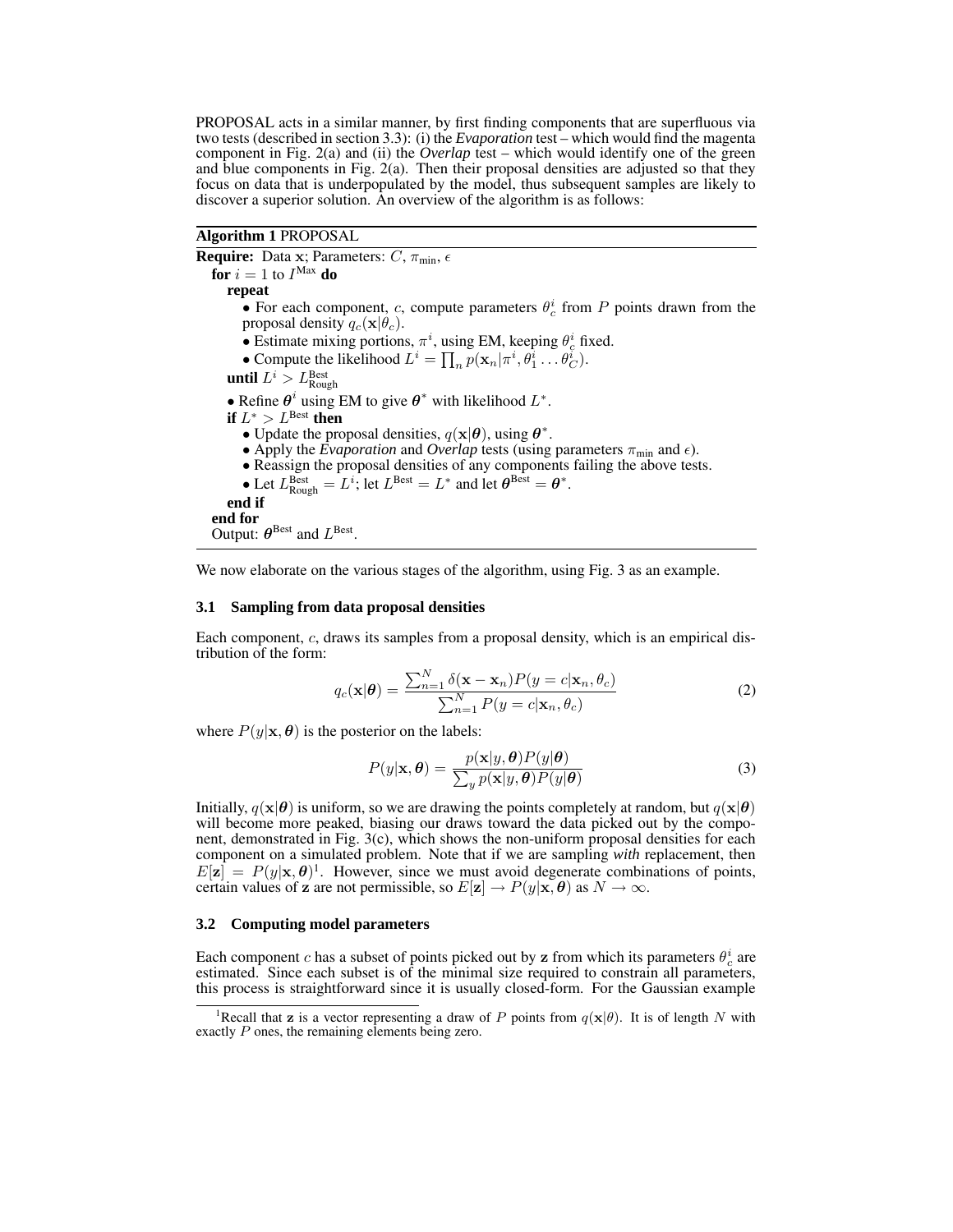PROPOSAL acts in a similar manner, by first finding components that are superfluous via two tests (described in section 3.3): (i) the *Evaporation* test – which would find the magenta component in Fig. 2(a) and (ii) the *Overlap* test – which would identify one of the green and blue components in Fig.  $2(a)$ . Then their proposal densities are adjusted so that they focus on data that is underpopulated by the model, thus subsequent samples are likely to discover a superior solution. An overview of the algorithm is as follows:

#### **Algorithm 1** PROPOSAL

**Require:** Data x; Parameters:  $C$ ,  $\pi_{\min}$ ,  $\epsilon$ **for**  $i = 1$  to  $I^{\text{Max}}$  **do repeat** • For each component, c, compute parameters  $\theta_c^i$  from P points drawn from the proposal density  $q_c(\mathbf{x}|\theta_c)$ . • Estimate mixing portions,  $\pi^i$ , using EM, keeping  $\theta_c^i$  fixed. • Compute the likelihood  $L^i = \prod_n p(\mathbf{x}_n | \pi^i, \theta_1^i \dots \theta_C^i)$ .  $\mathbf{until} \ L^i > L^\text{Best}_\text{Rough}$ • Refine  $\theta^i$  using EM to give  $\theta^*$  with likelihood  $L^*$ . **if**  $L^* > L^{\text{Best}}$  **then** • Update the proposal densities,  $q(\mathbf{x}|\boldsymbol{\theta})$ , using  $\boldsymbol{\theta}^*$ . • Apply the *Evaporation* and *Overlap* tests (using parameters  $\pi_{\min}$  and  $\epsilon$ ). • Reassign the proposal densities of any components failing the above tests. • Let  $L_{\text{Rough}}^{\text{Best}} = L^i$ ; let  $L^{\text{Best}} = L^*$  and let  $\theta^{\text{Best}} = \theta^*$ . **end if end for** Output:  $\theta^{\text{Best}}$  and  $L^{\text{Best}}$ .

We now elaborate on the various stages of the algorithm, using Fig. 3 as an example.

#### **3.1 Sampling from data proposal densities**

Each component, c, draws its samples from a proposal density, which is an empirical distribution of the form:

$$
q_c(\mathbf{x}|\boldsymbol{\theta}) = \frac{\sum_{n=1}^{N} \delta(\mathbf{x} - \mathbf{x}_n) P(y = c | \mathbf{x}_n, \theta_c)}{\sum_{n=1}^{N} P(y = c | \mathbf{x}_n, \theta_c)}
$$
(2)

where  $P(y|\mathbf{x}, \theta)$  is the posterior on the labels:

$$
P(y|\mathbf{x}, \boldsymbol{\theta}) = \frac{p(\mathbf{x}|y, \boldsymbol{\theta}) P(y|\boldsymbol{\theta})}{\sum_{y} p(\mathbf{x}|y, \boldsymbol{\theta}) P(y|\boldsymbol{\theta})}
$$
(3)

Initially,  $q(x|\theta)$  is uniform, so we are drawing the points completely at random, but  $q(x|\theta)$ will become more peaked, biasing our draws toward the data picked out by the component, demonstrated in Fig. 3(c), which shows the non-uniform proposal densities for each component on a simulated problem. Note that if we are sampling *with* replacement, then  $E[\mathbf{z}] = P(y|\mathbf{x}, \boldsymbol{\theta})^1$ . However, since we must avoid degenerate combinations of points, certain values of z are not permissible, so  $E[\mathbf{z}] \to P(y|\mathbf{x}, \theta)$  as  $N \to \infty$ .

## **3.2 Computing model parameters**

Each component c has a subset of points picked out by z from which its parameters  $\theta_c^i$  are estimated. Since each subset is of the minimal size required to constrain all parameters, this process is straightforward since it is usually closed-form. For the Gaussian example

<sup>&</sup>lt;sup>1</sup>Recall that **z** is a vector representing a draw of P points from  $q(\mathbf{x}|\theta)$ . It is of length N with exactly P ones, the remaining elements being zero.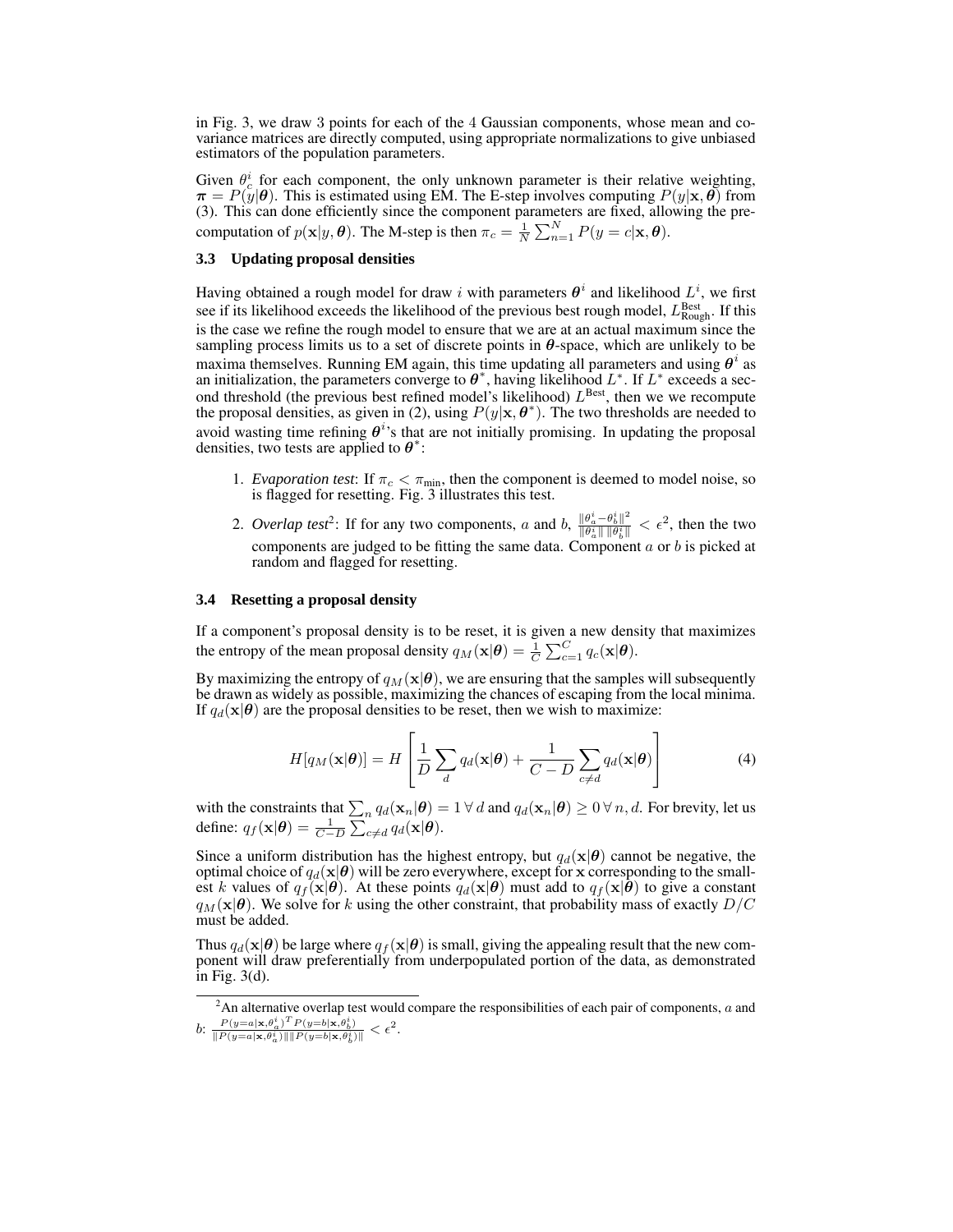in Fig. 3, we draw 3 points for each of the 4 Gaussian components, whose mean and covariance matrices are directly computed, using appropriate normalizations to give unbiased estimators of the population parameters.

Given  $\theta_c^i$  for each component, the only unknown parameter is their relative weighting,  $\pi = P(y|\theta)$ . This is estimated using EM. The E-step involves computing  $P(y|\mathbf{x}, \theta)$  from (3). This can done efficiently since the component parameters are fixed, allowing the precomputation of  $p(\mathbf{x}|y, \theta)$ . The M-step is then  $\pi_c = \frac{1}{N}$  $\frac{1}{N} \sum_{n=1}^{N} P(y=c|\mathbf{x}, \boldsymbol{\theta}).$ 

## **3.3 Updating proposal densities**

Having obtained a rough model for draw i with parameters  $\theta^i$  and likelihood  $L^i$ , we first see if its likelihood exceeds the likelihood of the previous best rough model,  $L_{\text{Rough}}^{\text{Best}}$ . If this is the case we refine the rough model to ensure that we are at an actual maximum since the sampling process limits us to a set of discrete points in  $\theta$ -space, which are unlikely to be maxima themselves. Running EM again, this time updating all parameters and using  $\theta^i$  as an initialization, the parameters converge to  $\theta^*$ , having likelihood  $L^*$ . If  $L^*$  exceeds a second threshold (the previous best refined model's likelihood)  $L^{\text{Best}}$ , then we we recompute the proposal densities, as given in (2), using  $P(y|\mathbf{x}, \theta^*)$ . The two thresholds are needed to avoid wasting time refining  $\theta^i$ 's that are not initially promising. In updating the proposal densities, two tests are applied to  $\theta^*$ :

- 1. *Evaporation test*: If  $\pi_c < \pi_{\min}$ , then the component is deemed to model noise, so is flagged for resetting. Fig. 3 illustrates this test.
- 2. *Overlap test*<sup>2</sup>: If for any two components, a and b,  $\frac{\|\theta_a^i \theta_b^i\|^2}{\|a_i^i\| \|a_i^i\|}$  $\frac{\|\theta_a^i - \theta_b^i\|^2}{\|\theta_a^i\| \|\theta_b^i\|} < \epsilon^2$ , then the two components are judged to be fitting the same data. Component  $a$  or  $b$  is picked at random and flagged for resetting.

#### **3.4 Resetting a proposal density**

If a component's proposal density is to be reset, it is given a new density that maximizes the entropy of the mean proposal density  $q_M(\mathbf{x}|\boldsymbol{\theta}) = \frac{1}{C} \sum_{c=1}^{C} q_c(\mathbf{x}|\boldsymbol{\theta}).$ 

By maximizing the entropy of  $q_M(\mathbf{x}|\boldsymbol{\theta})$ , we are ensuring that the samples will subsequently be drawn as widely as possible, maximizing the chances of escaping from the local minima. If  $q_d(\mathbf{x}|\boldsymbol{\theta})$  are the proposal densities to be reset, then we wish to maximize:

$$
H[q_M(\mathbf{x}|\boldsymbol{\theta})] = H\left[\frac{1}{D}\sum_d q_d(\mathbf{x}|\boldsymbol{\theta}) + \frac{1}{C-D}\sum_{c \neq d} q_d(\mathbf{x}|\boldsymbol{\theta})\right]
$$
(4)

with the constraints that  $\sum_n q_d(\mathbf{x}_n|\boldsymbol{\theta}) = 1 \,\forall \, d$  and  $q_d(\mathbf{x}_n|\boldsymbol{\theta}) \geq 0 \,\forall \, n, d$ . For brevity, let us define:  $q_f(\mathbf{x}|\boldsymbol{\theta}) = \frac{1}{C-D} \sum_{c \neq d}^{n} q_d(\mathbf{x}|\boldsymbol{\theta}).$ 

Since a uniform distribution has the highest entropy, but  $q_d(\mathbf{x}|\boldsymbol{\theta})$  cannot be negative, the optimal choice of  $q_d(\mathbf{x}|\boldsymbol{\theta})$  will be zero everywhere, except for x corresponding to the smallest k values of  $q_f(\mathbf{x}|\boldsymbol{\theta})$ . At these points  $q_d(\mathbf{x}|\boldsymbol{\theta})$  must add to  $q_f(\mathbf{x}|\boldsymbol{\theta})$  to give a constant  $q_M(\mathbf{x}|\boldsymbol{\theta})$ . We solve for k using the other constraint, that probability mass of exactly  $D/C$ must be added.

Thus  $q_d(\mathbf{x}|\boldsymbol{\theta})$  be large where  $q_f(\mathbf{x}|\boldsymbol{\theta})$  is small, giving the appealing result that the new component will draw preferentially from underpopulated portion of the data, as demonstrated in Fig. 3(d).

 $2^2$ An alternative overlap test would compare the responsibilities of each pair of components, a and  $b: \frac{P(y=a|\mathbf{x},\theta_a^i)^T P(y=b|\mathbf{x},\theta_b^i)}{\|P(y=a|\mathbf{x},\theta_a^i)\|\|P(y=b|\mathbf{x},\theta_b^i)\|} < \epsilon^2.$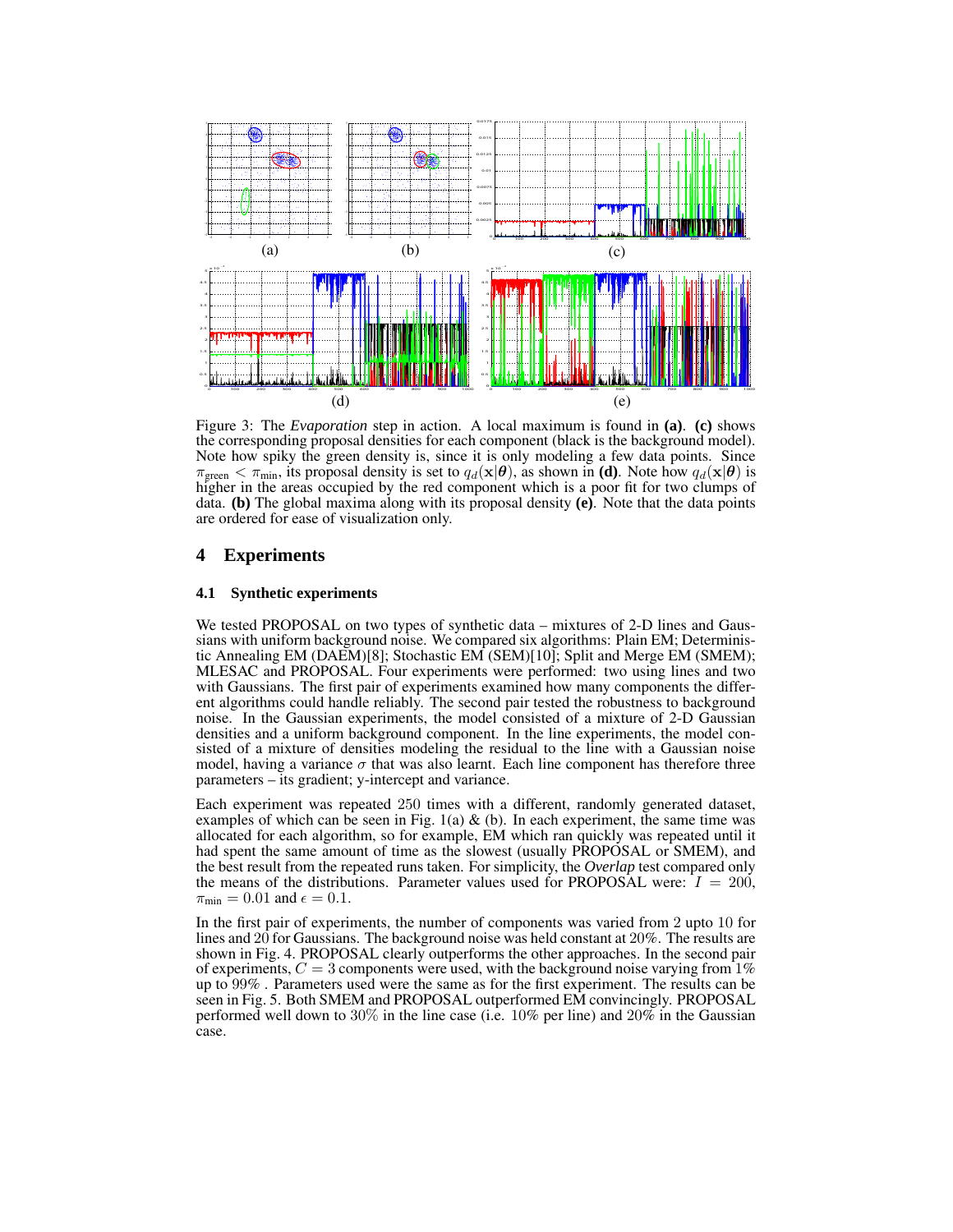

Figure 3: The *Evaporation* step in action. A local maximum is found in **(a)**. **(c)** shows the corresponding proposal densities for each component (black is the background model). Note how spiky the green density is, since it is only modeling a few data points. Since  $\pi_{\text{green}} < \pi_{\text{min}}$ , its proposal density is set to  $q_d(\mathbf{x}|\boldsymbol{\theta})$ , as shown in **(d)**. Note how  $q_d(\mathbf{x}|\boldsymbol{\theta})$  is higher in the areas occupied by the red component which is a poor fit for two clumps of data. **(b)** The global maxima along with its proposal density **(e)**. Note that the data points are ordered for ease of visualization only.

# **4 Experiments**

#### **4.1 Synthetic experiments**

We tested PROPOSAL on two types of synthetic data – mixtures of 2-D lines and Gaussians with uniform background noise. We compared six algorithms: Plain EM; Deterministic Annealing EM (DAEM)[8]; Stochastic EM (SEM)[10]; Split and Merge EM (SMEM); MLESAC and PROPOSAL. Four experiments were performed: two using lines and two with Gaussians. The first pair of experiments examined how many components the different algorithms could handle reliably. The second pair tested the robustness to background noise. In the Gaussian experiments, the model consisted of a mixture of 2-D Gaussian densities and a uniform background component. In the line experiments, the model consisted of a mixture of densities modeling the residual to the line with a Gaussian noise model, having a variance  $\sigma$  that was also learnt. Each line component has therefore three parameters – its gradient; y-intercept and variance.

Each experiment was repeated 250 times with a different, randomly generated dataset, examples of which can be seen in Fig. 1(a) & (b). In each experiment, the same time was allocated for each algorithm, so for example, EM which ran quickly was repeated until it had spent the same amount of time as the slowest (usually PROPOSAL or SMEM), and the best result from the repeated runs taken. For simplicity, the *Overlap* test compared only the means of the distributions. Parameter values used for PROPOSAL were:  $I = 200$ ,  $\pi_{\min} = 0.01$  and  $\epsilon = 0.1$ .

In the first pair of experiments, the number of components was varied from 2 upto 10 for lines and 20 for Gaussians. The background noise was held constant at 20%. The results are shown in Fig. 4. PROPOSAL clearly outperforms the other approaches. In the second pair of experiments,  $C = 3$  components were used, with the background noise varying from 1% up to 99% . Parameters used were the same as for the first experiment. The results can be seen in Fig. 5. Both SMEM and PROPOSAL outperformed EM convincingly. PROPOSAL performed well down to 30% in the line case (i.e. 10% per line) and 20% in the Gaussian case.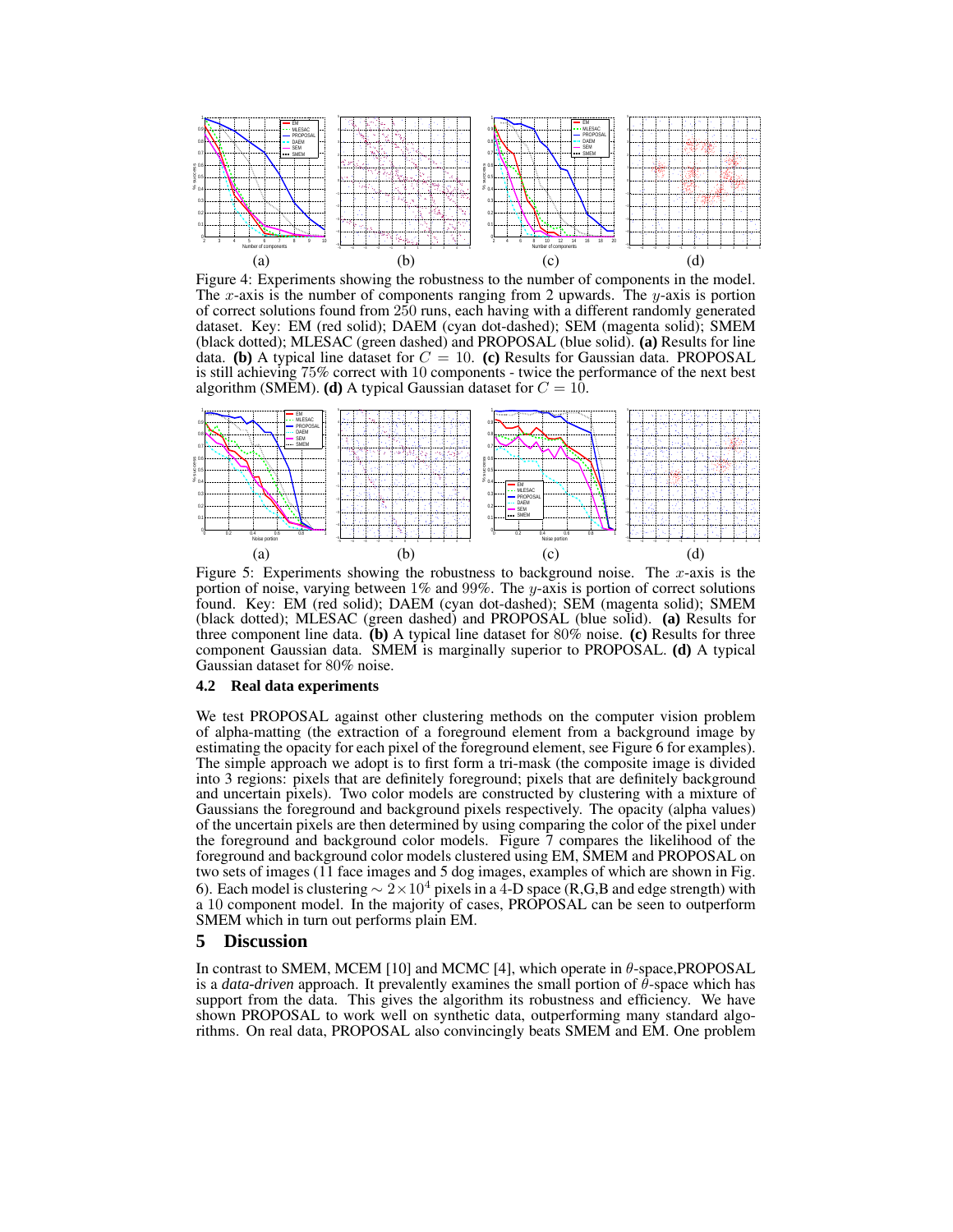

Figure 4: Experiments showing the robustness to the number of components in the model. The x-axis is the number of components ranging from 2 upwards. The y-axis is portion of correct solutions found from 250 runs, each having with a different randomly generated dataset. Key: EM (red solid); DAEM (cyan dot-dashed); SEM (magenta solid); SMEM (black dotted); MLESAC (green dashed) and PROPOSAL (blue solid). **(a)** Results for line data. **(b)** A typical line dataset for  $C = 10$ . **(c)** Results for Gaussian data. PROPOSAL is still achieving 75% correct with 10 components - twice the performance of the next best algorithm (SMEM). **(d)** A typical Gaussian dataset for  $C = 10$ .



Figure 5: Experiments showing the robustness to background noise. The  $x$ -axis is the portion of noise, varying between  $1\%$  and  $99\%$ . The y-axis is portion of correct solutions found. Key: EM (red solid); DAEM (cyan dot-dashed); SEM (magenta solid); SMEM (black dotted); MLESAC (green dashed) and PROPOSAL (blue solid). **(a)** Results for three component line data. **(b)** A typical line dataset for 80% noise. **(c)** Results for three component Gaussian data. SMEM is marginally superior to PROPOSAL. **(d)** A typical Gaussian dataset for 80% noise.

## **4.2 Real data experiments**

We test PROPOSAL against other clustering methods on the computer vision problem of alpha-matting (the extraction of a foreground element from a background image by estimating the opacity for each pixel of the foreground element, see Figure 6 for examples). The simple approach we adopt is to first form a tri-mask (the composite image is divided into 3 regions: pixels that are definitely foreground; pixels that are definitely background and uncertain pixels). Two color models are constructed by clustering with a mixture of Gaussians the foreground and background pixels respectively. The opacity (alpha values) of the uncertain pixels are then determined by using comparing the color of the pixel under the foreground and background color models. Figure 7 compares the likelihood of the foreground and background color models clustered using EM, SMEM and PROPOSAL on two sets of images (11 face images and 5 dog images, examples of which are shown in Fig. 6). Each model is clustering  $\sim 2 \times 10^4$  pixels in a 4-D space (R,G,B and edge strength) with a 10 component model. In the majority of cases, PROPOSAL can be seen to outperform SMEM which in turn out performs plain EM.

## **5 Discussion**

In contrast to SMEM, MCEM [10] and MCMC [4], which operate in  $\theta$ -space, PROPOSAL is a *data-driven* approach. It prevalently examines the small portion of  $\hat{\theta}$ -space which has support from the data. This gives the algorithm its robustness and efficiency. We have shown PROPOSAL to work well on synthetic data, outperforming many standard algorithms. On real data, PROPOSAL also convincingly beats SMEM and EM. One problem